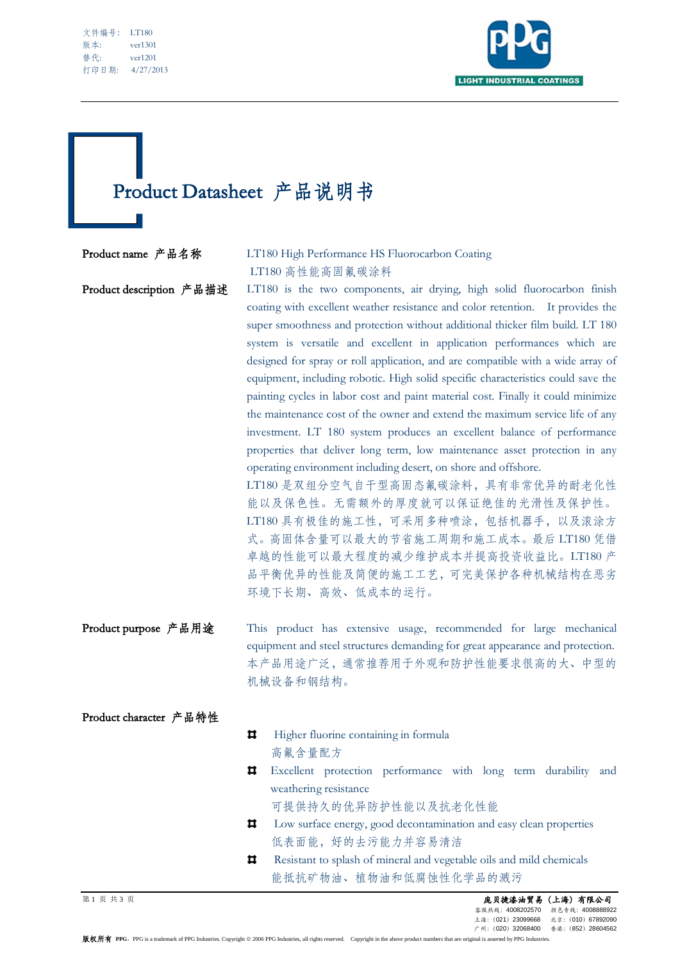| 文件编号: | <b>LT180</b> |
|-------|--------------|
| 版本:   | ver1301      |
| 替代:   | ver1201      |
| 打印日期: | 4/27/2013    |

L



## Product Datasheet 产品说明书

## Product name 产品名称 LT180 High Performance HS Fluorocarbon Coating LT180 高性能高固氟碳涂料

Product description 产品描述 LT180 is the two components, air drying, high solid fluorocarbon finish coating with excellent weather resistance and color retention. It provides the super smoothness and protection without additional thicker film build. LT 180 system is versatile and excellent in application performances which are designed for spray or roll application, and are compatible with a wide array of equipment, including robotic. High solid specific characteristics could save the painting cycles in labor cost and paint material cost. Finally it could minimize the maintenance cost of the owner and extend the maximum service life of any investment. LT 180 system produces an excellent balance of performance properties that deliver long term, low maintenance asset protection in any operating environment including desert, on shore and offshore. LT180 是双组分空气自干型高固态氟碳涂料,具有非常优异的耐老化性 能以及保色性。无需额外的厚度就可以保证绝佳的光滑性及保护性。 LT180 具有极佳的施工性,可采用多种喷涂,包括机器手,以及滚涂方 式。高固体含量可以最大的节省施工周期和施工成本。最后 LT180 凭借 卓越的性能可以最大程度的减少维护成本并提高投资收益比。LT180 产 品平衡优异的性能及简便的施工工艺,可完美保护各种机械结构在恶劣 环境下长期、高效、低成本的运行。

Product purpose 产品用途 This product has extensive usage, recommended for large mechanical equipment and steel structures demanding for great appearance and protection. 本产品用途广泛,通常推荐用于外观和防护性能要求很高的大、中型的 机械设备和钢结构。

## Product character 产品特性

 $\mathbf{u}$ Higher fluorine containing in formula 高氟含量配方 Excellent protection performance with long term durability and weathering resistance 可提供持久的优异防护性能以及抗老化性能 Low surface energy, good decontamination and easy clean properties  $\mathbf{H}$  低表面能,好的去污能力并容易清洁  $\mathbf{H}$ Resistant to splash of mineral and vegetable oils and mild chemicals 能抵抗矿物油、植物油和低腐蚀性化学品的溅污

第 1 页 共 3 页 庞贝捷漆油贸易(上海)有限公司 客服热线:4008202570 颜色专线:4008888922 上海:(021)23099668 北京:(010)67892090 广州:(020)32068400 香港:(852)28604562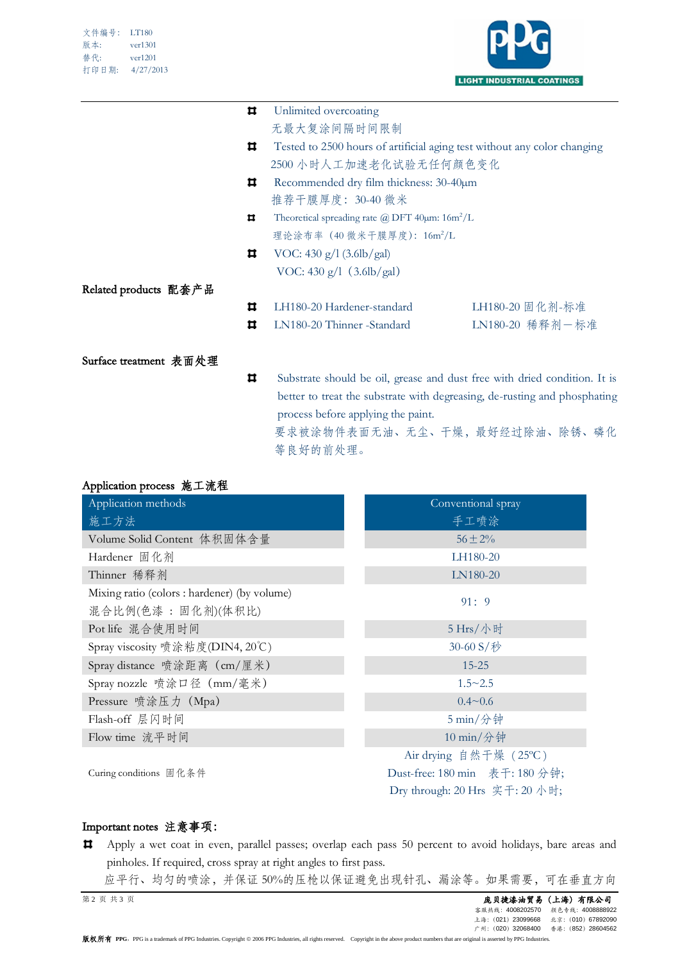

| Unlimited overcoating                                                          |                                                                  |
|--------------------------------------------------------------------------------|------------------------------------------------------------------|
| 无最大复涂间隔时间限制                                                                    |                                                                  |
| Tested to 2500 hours of artificial aging test without any color changing       |                                                                  |
|                                                                                |                                                                  |
| Recommended dry film thickness: 30-40µm                                        |                                                                  |
| 推荐干膜厚度: 30-40 微米                                                               |                                                                  |
| Theoretical spreading rate $\omega$ DFT 40 $\mu$ m: 16m <sup>2</sup> /L<br>ᄇ   |                                                                  |
|                                                                                |                                                                  |
| VOC: $430 \text{ g}/1 (3.6 \text{lb/gal})$                                     |                                                                  |
| VOC: $430 g/l$ (3.6lb/gal)                                                     |                                                                  |
|                                                                                |                                                                  |
| LH180-20 Hardener-standard                                                     | LH180-20 固化剂-标准                                                  |
| LN180-20 Thinner -Standard                                                     | LN180-20 稀释剂一标准                                                  |
|                                                                                |                                                                  |
|                                                                                |                                                                  |
| ᄇ<br>Substrate should be oil, grease and dust free with dried condition. It is |                                                                  |
| better to treat the substrate with degreasing, de-rusting and phosphating      |                                                                  |
| process before applying the paint.                                             |                                                                  |
|                                                                                | 2500 小时人工加速老化试验无任何颜色变化<br>理论涂布率 (40 微米干膜厚度): 16m <sup>2</sup> /L |

要求被涂物件表面无油、无尘、干燥,最好经过除油、除锈、磷化 等良好的前处理。

| Application process 施工流程                                            |                                                                                           |  |
|---------------------------------------------------------------------|-------------------------------------------------------------------------------------------|--|
| Application methods                                                 | Conventional spray                                                                        |  |
| 施工方法                                                                | 手工喷涂                                                                                      |  |
| Volume Solid Content 体积固体含量                                         | $56 \pm 2\%$                                                                              |  |
| Hardener 固化剂                                                        | LH180-20                                                                                  |  |
| Thinner 稀释剂                                                         | LN180-20                                                                                  |  |
| Mixing ratio (colors : hardener) (by volume)<br>混合比例(色漆 : 固化剂)(体积比) | 91:9                                                                                      |  |
| Pot life 混合使用时间                                                     | 5 Hrs/小时                                                                                  |  |
| Spray viscosity 喷涂粘度(DIN4, 20℃)                                     | 30-60 S/秒                                                                                 |  |
| Spray distance 喷涂距离 (cm/厘米)                                         | $15 - 25$                                                                                 |  |
| Spray nozzle 喷涂口径 (mm/毫米)                                           | $1.5 \sim 2.5$                                                                            |  |
| Pressure 喷涂压力 (Mpa)                                                 | $0.4 \sim 0.6$                                                                            |  |
| Flash-off 层闪时间                                                      | 5 min/分钟                                                                                  |  |
| Flow time 流平时间                                                      | 10 min/分钟                                                                                 |  |
| Curing conditions 固化条件                                              | Air drying 自然干燥 (25℃)<br>Dust-free: 180 min 表干: 180 分钟;<br>Dry through: 20 Hrs 实干: 20 小时; |  |

## Important notes 注意事项:

- Apply a wet coat in even, parallel passes; overlap each pass 50 percent to avoid holidays, bare areas and  $\pmb{\Pi}$ pinholes. If required, cross spray at right angles to first pass.
- 应平行、均匀的喷涂,并保证 50%的压枪以保证避免出现针孔、漏涂等。如果需要,可在垂直方向

**第 2 页 共 3 页 CL海) 有限公司**